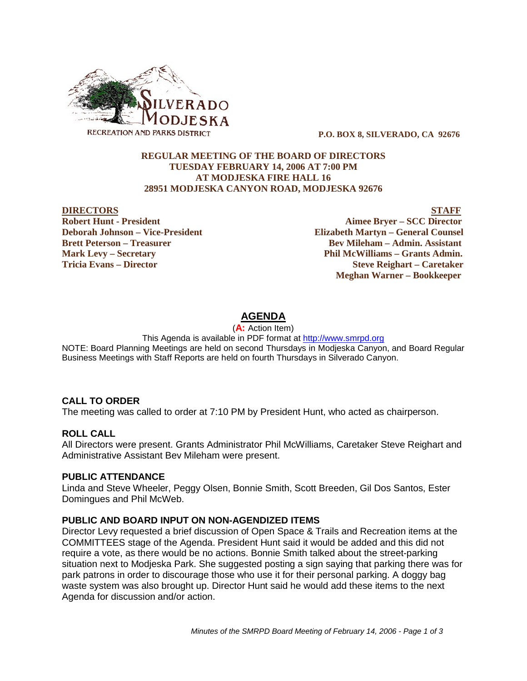

 **P.O. BOX 8, SILVERADO, CA 92676**

## **REGULAR MEETING OF THE BOARD OF DIRECTORS TUESDAY FEBRUARY 14, 2006 AT 7:00 PM AT MODJESKA FIRE HALL 16 28951 MODJESKA CANYON ROAD, MODJESKA 92676**

**Deborah Johnson – Vice-President Elizabeth Martyn – General Counsel Brett Peterson – Treasurer Serverson – Bev Mileham – Admin. Assistant Mark Levy – Secretary Phil McWilliams – Grants Admin. Tricia Evans – Director Steve Reighart – Caretaker**

**DIRECTORS STAFF Robert Hunt - President Aimee Bryer – SCC Director Meghan Warner – Bookkeeper**

# **AGENDA**

(**A:** Action Item)

This Agenda is available in PDF format at http://www.smrpd.org NOTE: Board Planning Meetings are held on second Thursdays in Modjeska Canyon, and Board Regular Business Meetings with Staff Reports are held on fourth Thursdays in Silverado Canyon.

# **CALL TO ORDER**

The meeting was called to order at 7:10 PM by President Hunt, who acted as chairperson.

## **ROLL CALL**

All Directors were present. Grants Administrator Phil McWilliams, Caretaker Steve Reighart and Administrative Assistant Bev Mileham were present.

## **PUBLIC ATTENDANCE**

Linda and Steve Wheeler, Peggy Olsen, Bonnie Smith, Scott Breeden, Gil Dos Santos, Ester Domingues and Phil McWeb.

## **PUBLIC AND BOARD INPUT ON NON-AGENDIZED ITEMS**

Director Levy requested a brief discussion of Open Space & Trails and Recreation items at the COMMITTEES stage of the Agenda. President Hunt said it would be added and this did not require a vote, as there would be no actions. Bonnie Smith talked about the street-parking situation next to Modjeska Park. She suggested posting a sign saying that parking there was for park patrons in order to discourage those who use it for their personal parking. A doggy bag waste system was also brought up. Director Hunt said he would add these items to the next Agenda for discussion and/or action.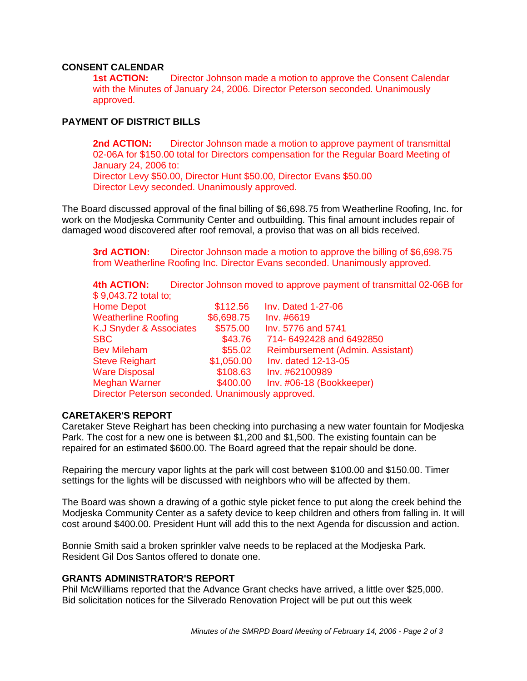# **CONSENT CALENDAR**

**1st ACTION:** Director Johnson made a motion to approve the Consent Calendar with the Minutes of January 24, 2006. Director Peterson seconded. Unanimously approved.

# **PAYMENT OF DISTRICT BILLS**

**2nd ACTION:** Director Johnson made a motion to approve payment of transmittal 02-06A for \$150.00 total for Directors compensation for the Regular Board Meeting of January 24, 2006 to: Director Levy \$50.00, Director Hunt \$50.00, Director Evans \$50.00 Director Levy seconded. Unanimously approved.

The Board discussed approval of the final billing of \$6,698.75 from Weatherline Roofing, Inc. for work on the Modjeska Community Center and outbuilding. This final amount includes repair of damaged wood discovered after roof removal, a proviso that was on all bids received.

**3rd ACTION:** Director Johnson made a motion to approve the billing of \$6,698.75 from Weatherline Roofing Inc. Director Evans seconded. Unanimously approved.

**4th ACTION:** Director Johnson moved to approve payment of transmittal 02-06B for  $$0.042.72$  total to:

| ึง 9.043.72 เบเลเ เบ.                             |            |                                  |
|---------------------------------------------------|------------|----------------------------------|
| <b>Home Depot</b>                                 | \$112.56   | <b>Inv. Dated 1-27-06</b>        |
| <b>Weatherline Roofing</b>                        | \$6,698.75 | Inv. #6619                       |
| K.J Snyder & Associates                           | \$575.00   | Inv. 5776 and 5741               |
| <b>SBC</b>                                        | \$43.76    | 714-6492428 and 6492850          |
| <b>Bev Mileham</b>                                | \$55.02    | Reimbursement (Admin. Assistant) |
| <b>Steve Reighart</b>                             | \$1,050.00 | Inv. dated 12-13-05              |
| <b>Ware Disposal</b>                              | \$108.63   | Inv. #62100989                   |
| <b>Meghan Warner</b>                              | \$400.00   | Inv. #06-18 (Bookkeeper)         |
| Director Peterson seconded. Unanimously approved. |            |                                  |
|                                                   |            |                                  |

## **CARETAKER'S REPORT**

Caretaker Steve Reighart has been checking into purchasing a new water fountain for Modjeska Park. The cost for a new one is between \$1,200 and \$1,500. The existing fountain can be repaired for an estimated \$600.00. The Board agreed that the repair should be done.

Repairing the mercury vapor lights at the park will cost between \$100.00 and \$150.00. Timer settings for the lights will be discussed with neighbors who will be affected by them.

The Board was shown a drawing of a gothic style picket fence to put along the creek behind the Modjeska Community Center as a safety device to keep children and others from falling in. It will cost around \$400.00. President Hunt will add this to the next Agenda for discussion and action.

Bonnie Smith said a broken sprinkler valve needs to be replaced at the Modjeska Park. Resident Gil Dos Santos offered to donate one.

# **GRANTS ADMINISTRATOR'S REPORT**

Phil McWilliams reported that the Advance Grant checks have arrived, a little over \$25,000. Bid solicitation notices for the Silverado Renovation Project will be put out this week